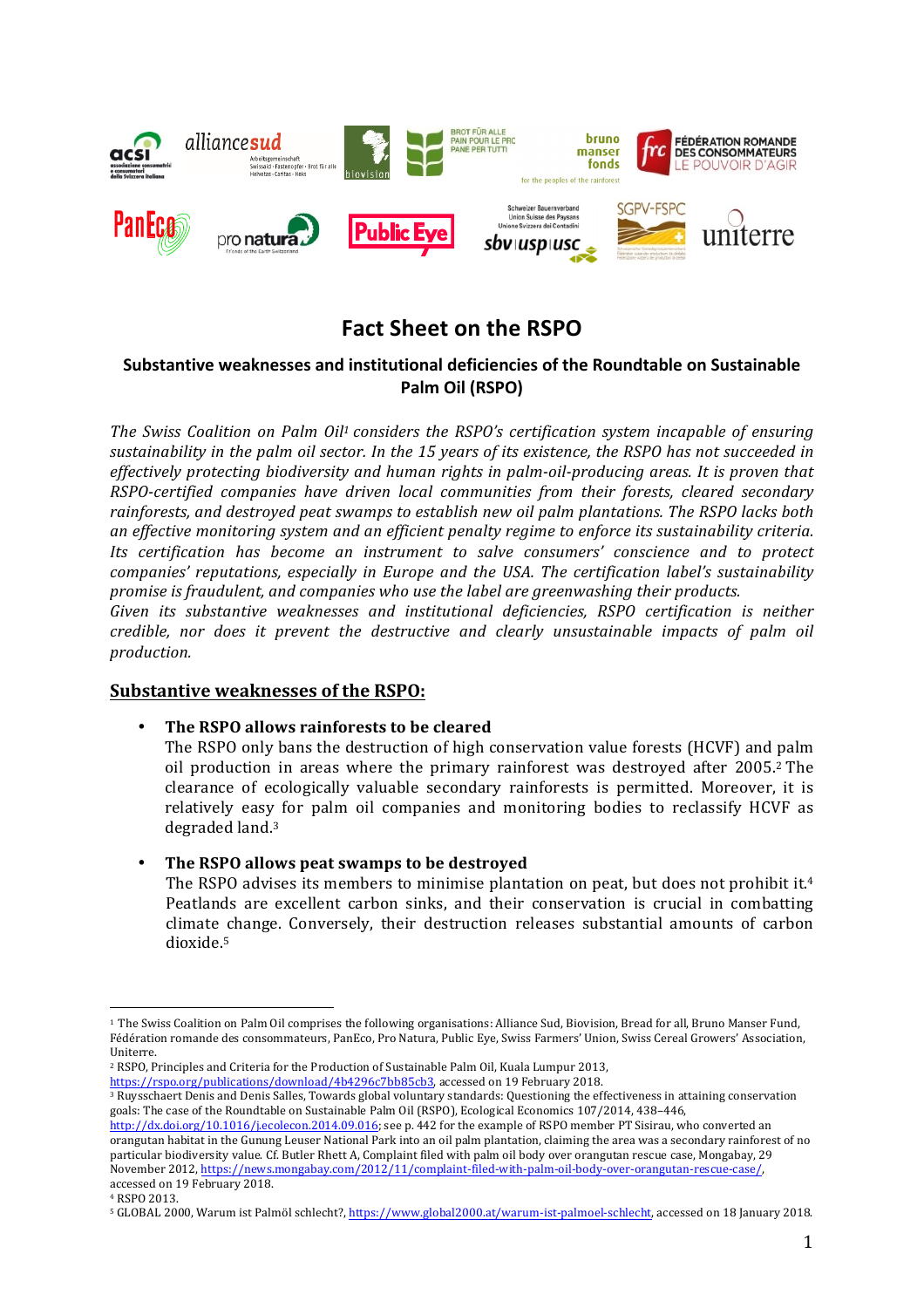

# **Fact Sheet on the RSPO**

# **Substantive weaknesses and institutional deficiencies of the Roundtable on Sustainable Palm Oil (RSPO)**

*The Swiss Coalition on Palm Oil<sup>1</sup> considers the RSPO's certification system incapable of ensuring* sustainability in the palm oil sector. In the 15 years of its existence, the RSPO has not succeeded in *effectively protecting biodiversity and human rights in palm-oil-producing areas. It is proven that RSPO-certified companies have driven local communities from their forests, cleared secondary*  rainforests, and destroyed peat swamps to establish new oil palm plantations. The RSPO lacks both *an effective monitoring system and an efficient penalty regime to enforce its sustainability criteria. Its certification has become an instrument to salve consumers' conscience and to protect companies' reputations, especially in Europe and the USA. The certification label's sustainability promise is fraudulent, and companies who use the label are greenwashing their products.* 

*Given* its substantive weaknesses and institutional deficiencies, RSPO certification is neither *credible,* nor does it prevent the destructive and clearly unsustainable impacts of palm oil *production.*

# **Substantive weaknesses of the RSPO:**

# **The RSPO allows rainforests to be cleared**

The RSPO only bans the destruction of high conservation value forests (HCVF) and palm oil production in areas where the primary rainforest was destroyed after 2005.<sup>2</sup> The clearance of ecologically valuable secondary rainforests is permitted. Moreover, it is relatively easy for palm oil companies and monitoring bodies to reclassify HCVF as degraded land.<sup>3</sup>

• **The RSPO allows peat swamps to be destroyed**

The RSPO advises its members to minimise plantation on peat, but does not prohibit it.<sup>4</sup> Peatlands are excellent carbon sinks, and their conservation is crucial in combatting climate change. Conversely, their destruction releases substantial amounts of carbon dioxide.5

http://dx.doi.org/10.1016/j.ecolecon.2014.09.016; see p. 442 for the example of RSPO member PT Sisirau, who converted an orangutan habitat in the Gunung Leuser National Park into an oil palm plantation, claiming the area was a secondary rainforest of no particular biodiversity value. Cf. Butler Rhett A, Complaint filed with palm oil body over orangutan rescue case, Mongabay, 29 November 2012, https://news.mongabay.com/2012/11/complaint-filed-with-palm-oil-body-over-orangutan-rescue-case/, accessed on 19 February 2018.

<sup>4</sup> RSPO 2013.

 <sup>1</sup> The Swiss Coalition on Palm Oil comprises the following organisations: Alliance Sud, Biovision, Bread for all, Bruno Manser Fund, Fédération romande des consommateurs, PanEco, Pro Natura, Public Eye, Swiss Farmers' Union, Swiss Cereal Growers' Association, Uniterre.

<sup>&</sup>lt;sup>2</sup> RSPO, Principles and Criteria for the Production of Sustainable Palm Oil, Kuala Lumpur 2013, https://rspo.org/publications/download/4b4296c7bb85cb3, accessed on 19 February 2018.

<sup>&</sup>lt;sup>3</sup> Ruysschaert Denis and Denis Salles, Towards global voluntary standards: Questioning the effectiveness in attaining conservation goals: The case of the Roundtable on Sustainable Palm Oil (RSPO), Ecological Economics 107/2014, 438-446,

<sup>&</sup>lt;sup>5</sup> GLOBAL 2000, Warum ist Palmöl schlecht?, https://www.global2000.at/warum-ist-palmoel-schlecht, accessed on 18 January 2018.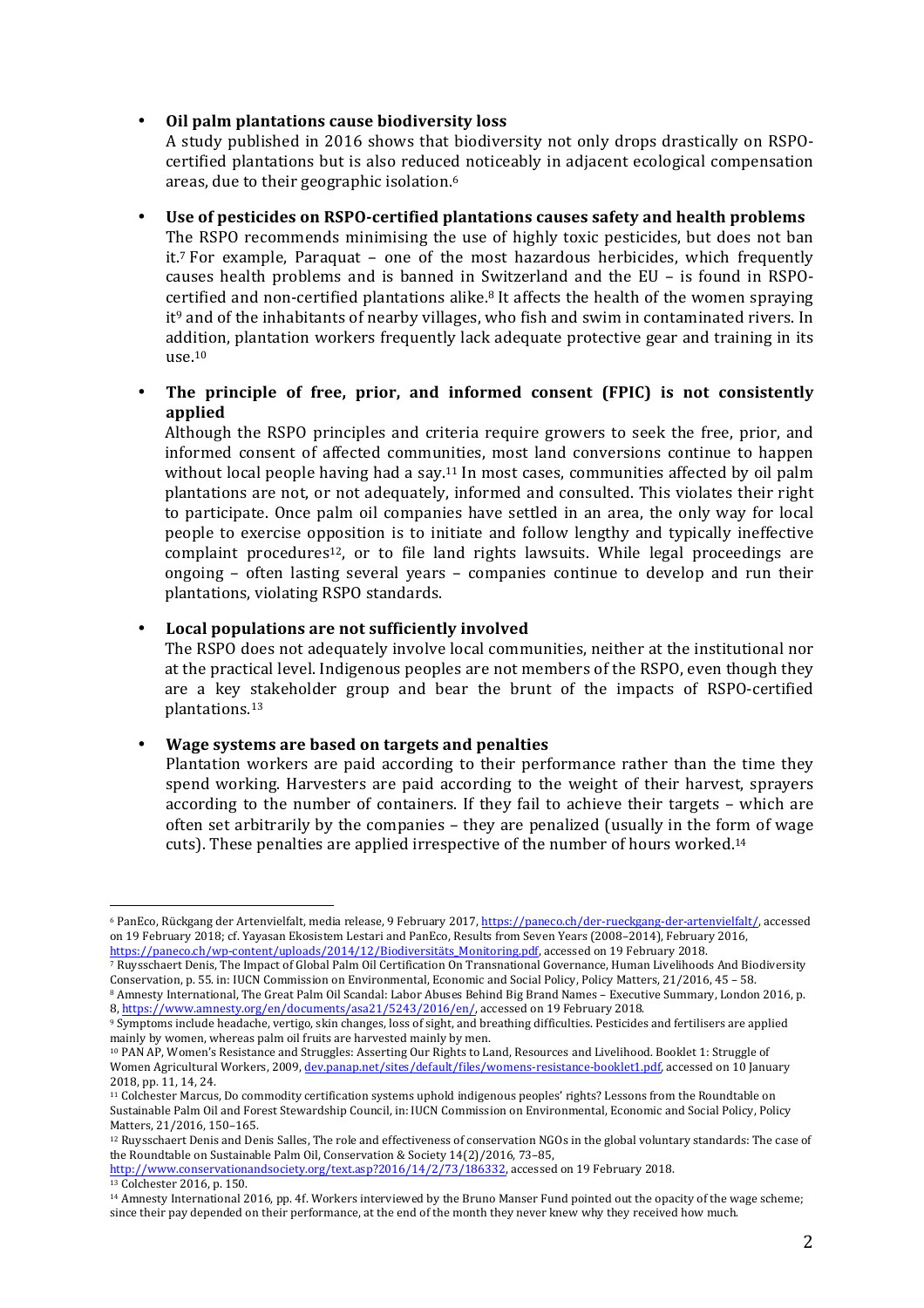#### • **Oil palm plantations cause biodiversity loss**

A study published in 2016 shows that biodiversity not only drops drastically on RSPOcertified plantations but is also reduced noticeably in adjacent ecological compensation areas, due to their geographic isolation.<sup>6</sup>

Use of pesticides on RSPO-certified plantations causes safety and health problems The RSPO recommends minimising the use of highly toxic pesticides, but does not ban it.<sup>7</sup> For example, Paraquat – one of the most hazardous herbicides, which frequently causes health problems and is banned in Switzerland and the EU – is found in RSPOcertified and non-certified plantations alike.<sup>8</sup> It affects the health of the women spraying  $it^9$  and of the inhabitants of nearby villages, who fish and swim in contaminated rivers. In addition, plantation workers frequently lack adequate protective gear and training in its use. 10

• The principle of free, prior, and informed consent (FPIC) is not consistently **applied**

Although the RSPO principles and criteria require growers to seek the free, prior, and informed consent of affected communities, most land conversions continue to happen without local people having had a say.<sup>11</sup> In most cases, communities affected by oil palm plantations are not, or not adequately, informed and consulted. This violates their right to participate. Once palm oil companies have settled in an area, the only way for local people to exercise opposition is to initiate and follow lengthy and typically ineffective complaint procedures<sup>12</sup>, or to file land rights lawsuits. While legal proceedings are ongoing  $-$  often lasting several years  $-$  companies continue to develop and run their plantations, violating RSPO standards.

**Local populations are not sufficiently involved** 

The RSPO does not adequately involve local communities, neither at the institutional nor at the practical level. Indigenous peoples are not members of the RSPO, even though they are a key stakeholder group and bear the brunt of the impacts of RSPO-certified plantations. 13

#### • **Wage systems are based on targets and penalties**

 

Plantation workers are paid according to their performance rather than the time they spend working. Harvesters are paid according to the weight of their harvest, sprayers according to the number of containers. If they fail to achieve their targets - which are often set arbitrarily by the companies  $-$  they are penalized (usually in the form of wage cuts). These penalties are applied irrespective of the number of hours worked.<sup>14</sup>

 $\overline{7}$  Ruysschaert Denis, The Impact of Global Palm Oil Certification On Transnational Governance, Human Livelihoods And Biodiversity Conservation, p. 55. in: IUCN Commission on Environmental, Economic and Social Policy, Policy Matters, 21/2016, 45 – 58. 8 Amnesty International, The Great Palm Oil Scandal: Labor Abuses Behind Big Brand Names – Executive Summary, London 2016, p.

<sup>12</sup> Ruysschaert Denis and Denis Salles, The role and effectiveness of conservation NGOs in the global voluntary standards: The case of the Roundtable on Sustainable Palm Oil, Conservation & Society 14(2)/2016, 73-85,

<sup>&</sup>lt;sup>6</sup> PanEco, Rückgang der Artenvielfalt, media release, 9 February 2017, https://paneco.ch/der-rueckgang-der-artenvielfalt/, accessed on 19 February 2018; cf. Yayasan Ekosistem Lestari and PanEco, Results from Seven Years (2008–2014), February 2016, https://paneco.ch/wp-content/uploads/2014/12/Biodiversitäts\_Monitoring.pdf, accessed on 19 February 2018.

<sup>8,</sup> https://www.amnesty.org/en/documents/asa21/5243/2016/en/, accessed on 19 February 2018. <sup>9</sup> Symptoms include headache, vertigo, skin changes, loss of sight, and breathing difficulties. Pesticides and fertilisers are applied mainly by women, whereas palm oil fruits are harvested mainly by men.

<sup>&</sup>lt;sup>10</sup> PAN AP, Women's Resistance and Struggles: Asserting Our Rights to Land, Resources and Livelihood. Booklet 1: Struggle of Women Agricultural Workers, 2009, dev.panap.net/sites/default/files/womens-resistance-booklet1.pdf, accessed on 10 January 2018, pp. 11, 14, 24.

<sup>&</sup>lt;sup>11</sup> Colchester Marcus, Do commodity certification systems uphold indigenous peoples' rights? Lessons from the Roundtable on Sustainable Palm Oil and Forest Stewardship Council, in: IUCN Commission on Environmental, Economic and Social Policy, Policy Matters, 21/2016, 150-165.

http://www.conservationandsociety.org/text.asp?2016/14/2/73/186332, accessed on 19 February 2018. <sup>13</sup> Colchester 2016, p. 150.

<sup>&</sup>lt;sup>14</sup> Amnesty International 2016, pp. 4f. Workers interviewed by the Bruno Manser Fund pointed out the opacity of the wage scheme; since their pay depended on their performance, at the end of the month they never knew why they received how much.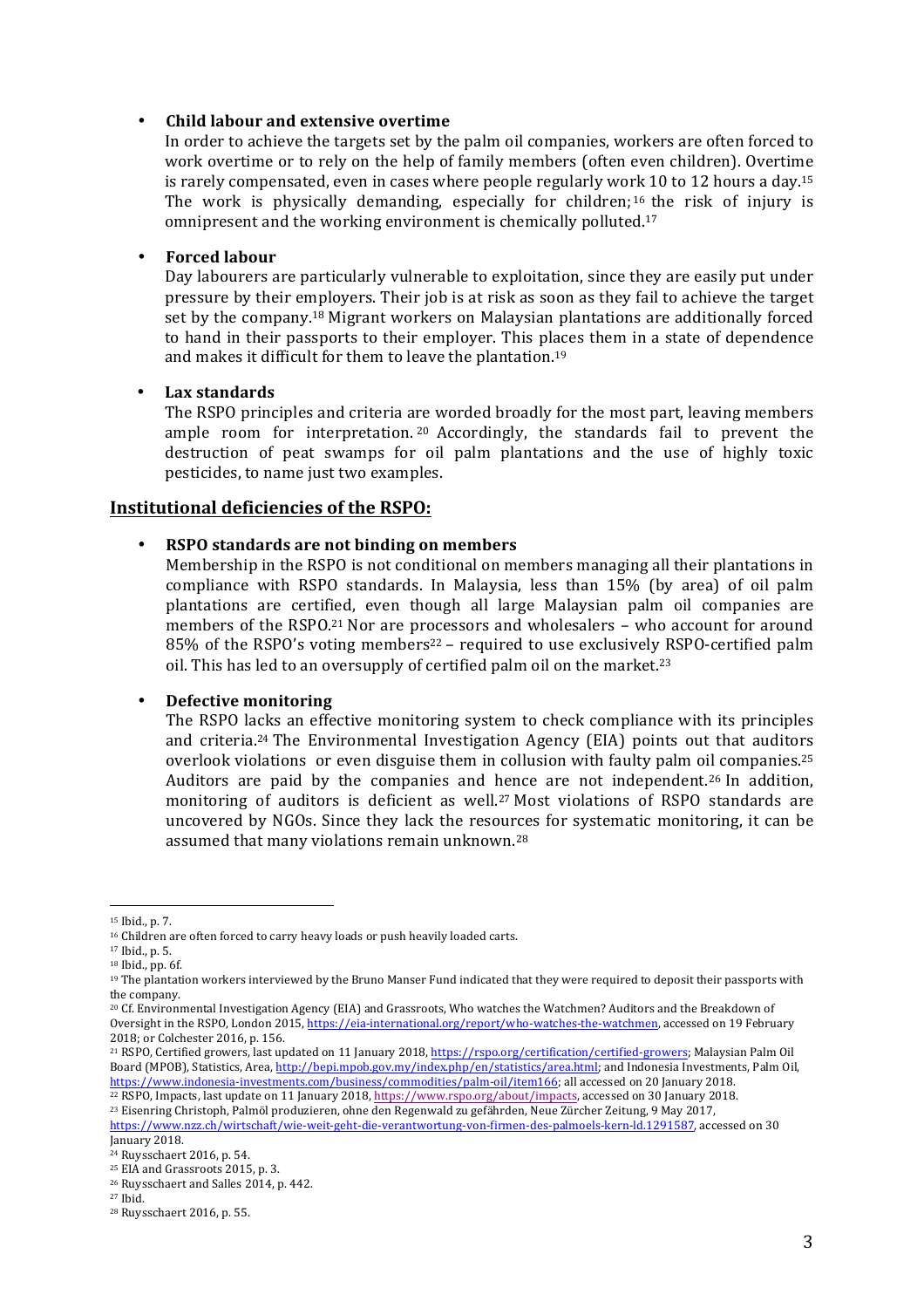#### • **Child labour and extensive overtime**

In order to achieve the targets set by the palm oil companies, workers are often forced to work overtime or to rely on the help of family members (often even children). Overtime is rarely compensated, even in cases where people regularly work 10 to 12 hours a day.<sup>15</sup> The work is physically demanding, especially for children;  $16$  the risk of injury is omnipresent and the working environment is chemically polluted.<sup>17</sup>

#### • **Forced labour**

Day labourers are particularly vulnerable to exploitation, since they are easily put under pressure by their employers. Their job is at risk as soon as they fail to achieve the target set by the company.<sup>18</sup> Migrant workers on Malaysian plantations are additionally forced to hand in their passports to their employer. This places them in a state of dependence and makes it difficult for them to leave the plantation.<sup>19</sup>

# • **Lax standards**

The RSPO principles and criteria are worded broadly for the most part, leaving members ample room for interpretation.  $20$  Accordingly, the standards fail to prevent the destruction of peat swamps for oil palm plantations and the use of highly toxic pesticides, to name just two examples.

# **Institutional deficiencies of the RSPO:**

# • **RSPO standards are not binding on members**

Membership in the RSPO is not conditional on members managing all their plantations in compliance with RSPO standards. In Malaysia, less than 15% (by area) of oil palm plantations are certified, even though all large Malaysian palm oil companies are members of the RSPO.<sup>21</sup> Nor are processors and wholesalers – who account for around 85% of the RSPO's voting members<sup>22</sup> – required to use exclusively RSPO-certified palm oil. This has led to an oversupply of certified palm oil on the market.<sup>23</sup>

#### • **Defective monitoring**

 

The RSPO lacks an effective monitoring system to check compliance with its principles and criteria.<sup>24</sup> The Environmental Investigation Agency (EIA) points out that auditors overlook violations or even disguise them in collusion with faulty palm oil companies.<sup>25</sup> Auditors are paid by the companies and hence are not independent.<sup>26</sup> In addition, monitoring of auditors is deficient as well.<sup>27</sup> Most violations of RSPO standards are uncovered by NGOs. Since they lack the resources for systematic monitoring, it can be assumed that many violations remain unknown.<sup>28</sup>

<sup>&</sup>lt;sup>15</sup> Ibid., p. 7.

<sup>&</sup>lt;sup>16</sup> Children are often forced to carry heavy loads or push heavily loaded carts.

<sup>&</sup>lt;sup>17</sup> Ibid., p. 5.

 $18$  Ibid., pp. 6f.

<sup>&</sup>lt;sup>19</sup> The plantation workers interviewed by the Bruno Manser Fund indicated that they were required to deposit their passports with the company.

<sup>&</sup>lt;sup>20</sup> Cf. Environmental Investigation Agency (EIA) and Grassroots, Who watches the Watchmen? Auditors and the Breakdown of Oversight in the RSPO, London 2015, https://eia-international.org/report/who-watches-the-watchmen, accessed on 19 February 2018; or Colchester 2016, p. 156.

<sup>&</sup>lt;sup>21</sup> RSPO, Certified growers, last updated on 11 January 2018, https://rspo.org/certification/certified-growers; Malaysian Palm Oil Board (MPOB), Statistics, Area, http://bepi.mpob.gov.my/index.php/en/statistics/area.html; and Indonesia Investments, Palm Oil, https://www.indonesia-investments.com/business/commodities/palm-oil/item166; all accessed on 20 January 2018.

<sup>&</sup>lt;sup>22</sup> RSPO, Impacts, last update on 11 January 2018, https://www.rspo.org/about/impacts, accessed on 30 January 2018.

<sup>&</sup>lt;sup>23</sup> Eisenring Christoph, Palmöl produzieren, ohne den Regenwald zu gefährden, Neue Zürcher Zeitung, 9 May 2017,

https://www.nzz.ch/wirtschaft/wie-weit-geht-die-verantwortung-von-firmen-des-palmoels-kern-ld.1291587, accessed on 30 January 2018.

<sup>&</sup>lt;sup>24</sup> Ruysschaert 2016, p. 54.

<sup>&</sup>lt;sup>25</sup> EIA and Grassroots 2015, p. 3.

<sup>&</sup>lt;sup>26</sup> Ruysschaert and Salles 2014, p. 442.

<sup>27</sup> Ibid. 

<sup>&</sup>lt;sup>28</sup> Ruysschaert 2016, p. 55.